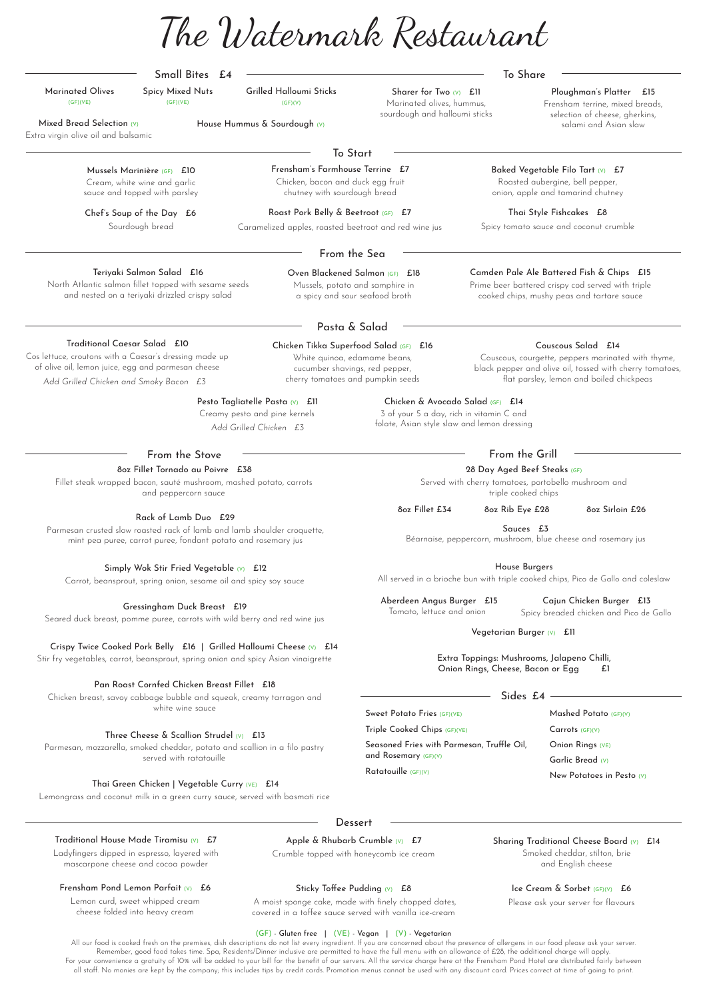Camden Pale Ale Battered Fish & Chips £15 Prime beer battered crispy cod served with triple cooked chips, mushy peas and tartare sauce

Extra virgin olive oil and balsamic Mixed Bread Selection (V) House Hummus & Sourdough (V)

# Small Bites £4

Marinated Olives (GF)(VE)

Sharer for Two (V) Ell Marinated olives, hummus, sourdough and halloumi sticks

Grilled Halloumi Sticks (GF)(V)

Spicy Mixed Nuts (GF)(VE)

> Baked Vegetable Filo Tart (V) £7 Roasted aubergine, bell pepper, onion, apple and tamarind chutney

To Share

To Start

Chef's Soup of the Day £6 Sourdough bread

Frensham's Farmhouse Terrine £7 Chicken, bacon and duck egg fruit chutney with sourdough bread

> Thai Style Fishcakes £8 Spicy tomato sauce and coconut crumble

From the Sea

Oven Blackened Salmon (GF) £18 Mussels, potato and samphire in a spicy and sour seafood broth

Teriyaki Salmon Salad £16

North Atlantic salmon fillet topped with sesame seeds and nested on a teriyaki drizzled crispy salad

Pasta & Salad

Chicken & Avocado Salad (GF) £14 3 of your 5 a day, rich in vitamin C and folate, Asian style slaw and lemon dressing

Chicken Tikka Superfood Salad (GF) £16 White quinoa, edamame beans, cucumber shavings, red pepper,

# Pesto Tagliatelle Pasta (V) £11

Couscous Salad £14 Couscous, courgette, peppers marinated with thyme,

cherry tomatoes and pumpkin seeds black pepper and olive oil, tossed with cherry tomatoes, flat parsley, lemon and boiled chickpeas

# Traditional Caesar Salad £10

# 8oz Fillet Tornado au Poivre £38

Fillet steak wrapped bacon, sauté mushroom, mashed potato, carrots and peppercorn sauce

> Aberdeen Angus Burger £15 Tomato, lettuce and onion

Cajun Chicken Burger £13 Spicy breaded chicken and Pico de Gallo

Vegetarian Burger (V) £11

House Burgers

All served in a brioche bun with triple cooked chips, Pico de Gallo and coleslaw

Extra Toppings: Mushrooms, Jalapeno Chilli, Onion Rings, Cheese, Bacon or Egg £1

Creamy pesto and pine kernels *Add Grilled Chicken £3*

# Rack of Lamb Duo £29

Parmesan crusted slow roasted rack of lamb and lamb shoulder croquette, mint pea puree, carrot puree, fondant potato and rosemary jus

# Simply Wok Stir Fried Vegetable  $(V)$  £12

Cos lettuce, croutons with a Caesar's dressing made up of olive oil, lemon juice, egg and parmesan cheese *Add Grilled Chicken and Smoky Bacon £3*

Carrot, beansprout, spring onion, sesame oil and spicy soy sauce

Gressingham Duck Breast £19

Seared duck breast, pomme puree, carrots with wild berry and red wine jus

Crispy Twice Cooked Pork Belly £16 | Grilled Halloumi Cheese (V) £14

All our food is cooked fresh on the premises, dish descriptions do not list every ingredient. If you are concerned about the presence of allergens in our food please ask your server. Remember, good food takes time. Spa, Residents/Dinner inclusive are permitted to have the full menu with an allowance of £28, the additional charge will apply. For your convenience a gratuity of 10% will be added to your bill for the benefit of our servers. All the service charge here at the Frensham Pond Hotel are distributed fairly between all staff. No monies are kept by the company; this includes tips by credit cards. Promotion menus cannot be used with any discount card. Prices correct at time of going to print.

Stir fry vegetables, carrot, beansprout, spring onion and spicy Asian vinaigrette

# Pan Roast Cornfed Chicken Breast Fillet £18

Chicken breast, savoy cabbage bubble and squeak, creamy tarragon and white wine sauce

# Three Cheese & Scallion Strudel  $(v)$  £13

Parmesan, mozzarella, smoked cheddar, potato and scallion in a filo pastry

served with ratatouille

#### Thai Green Chicken | Vegetable Curry (VE) £14

Lemongrass and coconut milk in a green curry sauce, served with basmati rice

#### **Dessert**

#### Traditional House Made Tiramisu  $(v)$  £7

Mussels Marinière (GF) £10 Cream, white wine and garlic sauce and topped with parsley

> Roast Pork Belly & Beetroot (GF) £7 Caramelized apples, roasted beetroot and red wine jus

# 28 Day Aged Beef Steaks (GF)

Served with cherry tomatoes, portobello mushroom and triple cooked chips

8oz Fillet £34 8oz Rib Eye £28 8oz Sirloin £26

Sauces £3

Béarnaise, peppercorn, mushroom, blue cheese and rosemary jus

Sides £4

Sweet Potato Fries (GF)(VE)

Triple Cooked Chips (GF)(VE)

Seasoned Fries with Parmesan, Truffle Oil,

#### and Rosemary (GF)(V)

Ratatouille (GF)(V)

Mashed Potato (GF)(V)

Carrots (GF)(V)

Onion Rings (VE)

From the Stove  $\qquad \qquad$ 

#### Garlic Bread (V)

New Potatoes in Pesto (V)

Ladyfingers dipped in espresso, layered with mascarpone cheese and cocoa powder

Crumble topped with honeycomb ice cream

#### Sharing Traditional Cheese Board (V) £14

#### Ice Cream & Sorbet (GF)(V) £6

Please ask your server for flavours

#### Frensham Pond Lemon Parfait (V) £6

Lemon curd, sweet whipped cream cheese folded into heavy cream

### Apple & Rhubarb Crumble (V) E7

#### (GF) - Gluten free | (VE) - Vegan | (V) - Vegetarian

Smoked cheddar, stilton, brie and English cheese

#### Sticky Toffee Pudding (V) £8

 A moist sponge cake, made with finely chopped dates, covered in a toffee sauce served with vanilla ice-cream

Ploughman's Platter £15

Frensham terrine, mixed breads, selection of cheese, gherkins, salami and Asian slaw

The Watermark Restaurant